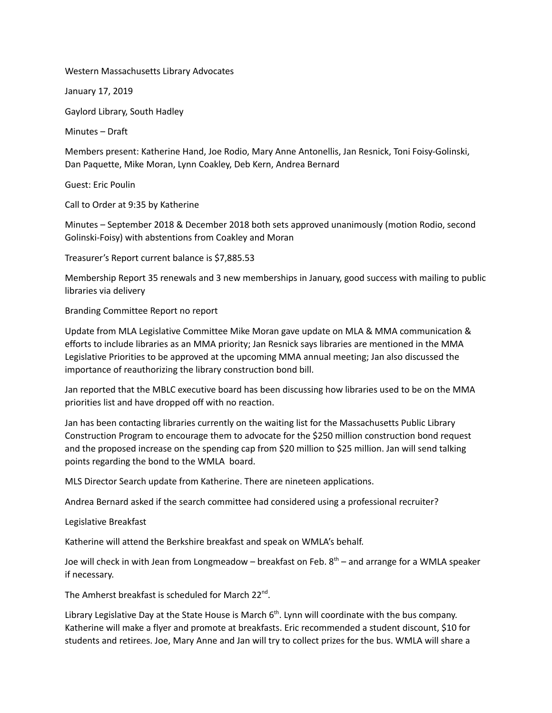Western Massachusetts Library Advocates

January 17, 2019

Gaylord Library, South Hadley

Minutes – Draft

Members present: Katherine Hand, Joe Rodio, Mary Anne Antonellis, Jan Resnick, Toni Foisy-Golinski, Dan Paquette, Mike Moran, Lynn Coakley, Deb Kern, Andrea Bernard

Guest: Eric Poulin

Call to Order at 9:35 by Katherine

Minutes – September 2018 & December 2018 both sets approved unanimously (motion Rodio, second Golinski-Foisy) with abstentions from Coakley and Moran

Treasurer's Report current balance is \$7,885.53

Membership Report 35 renewals and 3 new memberships in January, good success with mailing to public libraries via delivery

Branding Committee Report no report

Update from MLA Legislative Committee Mike Moran gave update on MLA & MMA communication & efforts to include libraries as an MMA priority; Jan Resnick says libraries are mentioned in the MMA Legislative Priorities to be approved at the upcoming MMA annual meeting; Jan also discussed the importance of reauthorizing the library construction bond bill.

Jan reported that the MBLC executive board has been discussing how libraries used to be on the MMA priorities list and have dropped off with no reaction.

Jan has been contacting libraries currently on the waiting list for the Massachusetts Public Library Construction Program to encourage them to advocate for the \$250 million construction bond request and the proposed increase on the spending cap from \$20 million to \$25 million. Jan will send talking points regarding the bond to the WMLA board.

MLS Director Search update from Katherine. There are nineteen applications.

Andrea Bernard asked if the search committee had considered using a professional recruiter?

Legislative Breakfast

Katherine will attend the Berkshire breakfast and speak on WMLA's behalf.

Joe will check in with Jean from Longmeadow – breakfast on Feb. 8<sup>th</sup> – and arrange for a WMLA speaker if necessary.

The Amherst breakfast is scheduled for March 22<sup>nd</sup>.

Library Legislative Day at the State House is March 6<sup>th</sup>. Lynn will coordinate with the bus company. Katherine will make a flyer and promote at breakfasts. Eric recommended a student discount, \$10 for students and retirees. Joe, Mary Anne and Jan will try to collect prizes for the bus. WMLA will share a